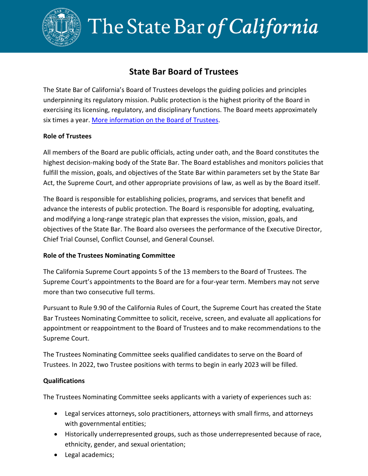

# The State Bar of California

# **State Bar Board of Trustees**

The State Bar of California's Board of Trustees develops the guiding policies and principles underpinning its regulatory mission. Public protection is the highest priority of the Board in exercising its licensing, regulatory, and disciplinary functions. The Board meets approximately six times a year. More [information on the Board of Trustees.](https://www.calbar.ca.gov/About-Us/Who-We-Are/Board-of-Trustees)

### **Role of Trustees**

All members of the Board are public officials, acting under oath, and the Board constitutes the highest decision-making body of the State Bar. The Board establishes and monitors policies that fulfill the mission, goals, and objectives of the State Bar within parameters set by the State Bar Act, the Supreme Court, and other appropriate provisions of law, as well as by the Board itself.

The Board is responsible for establishing policies, programs, and services that benefit and advance the interests of public protection. The Board is responsible for adopting, evaluating, and modifying a long-range strategic plan that expresses the vision, mission, goals, and objectives of the State Bar. The Board also oversees the performance of the Executive Director, Chief Trial Counsel, Conflict Counsel, and General Counsel.

## **Role of the Trustees Nominating Committee**

The California Supreme Court appoints 5 of the 13 members to the Board of Trustees. The Supreme Court's appointments to the Board are for a four-year term. Members may not serve more than two consecutive full terms.

Pursuant to Rule 9.90 of the California Rules of Court, the Supreme Court has created the State Bar Trustees Nominating Committee to solicit, receive, screen, and evaluate all applications for appointment or reappointment to the Board of Trustees and to make recommendations to the Supreme Court.

The Trustees Nominating Committee seeks qualified candidates to serve on the Board of Trustees. In 2022, two Trustee positions with terms to begin in early 2023 will be filled.

#### **Qualifications**

The Trustees Nominating Committee seeks applicants with a variety of experiences such as:

- Legal services attorneys, solo practitioners, attorneys with small firms, and attorneys with governmental entities;
- Historically underrepresented groups, such as those underrepresented because of race, ethnicity, gender, and sexual orientation;
- Legal academics;